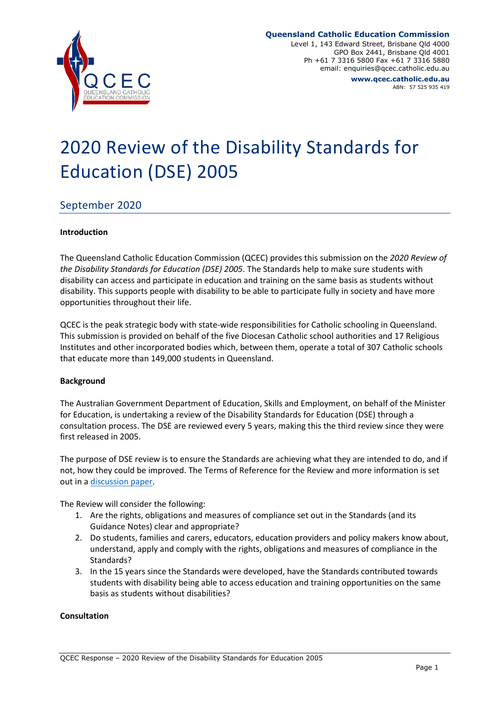

#### **Queensland Catholic Education Commission**

Level 1, 143 Edward Street, Brisbane Qld 4000 GPO Box 2441, Brisbane Qld 4001 Ph +61 7 3316 5800 Fax +61 7 3316 5880 email: enquiries@qcec.catholic.edu.au **www.qcec.catholic.edu.au**

ABN: 57 525 935 419

# 2020 Review of the Disability Standards for Education (DSE) 2005

# September 2020

#### **Introduction**

The Queensland Catholic Education Commission (QCEC) provides this submission on the *2020 Review of the Disability Standards for Education (DSE) 2005*. The Standards help to make sure students with disability can access and participate in education and training on the same basis as students without disability. This supports people with disability to be able to participate fully in society and have more opportunities throughout their life.

QCEC is the peak strategic body with state-wide responsibilities for Catholic schooling in Queensland. This submission is provided on behalf of the five Diocesan Catholic school authorities and 17 Religious Institutes and other incorporated bodies which, between them, operate a total of 307 Catholic schools that educate more than 149,000 students in Queensland.

#### **Background**

The Australian Government Department of Education, Skills and Employment, on behalf of the Minister for Education, is undertaking a review of the Disability Standards for Education (DSE) through a consultation process. The DSE are reviewed every 5 years, making this the third review since they were first released in 2005.

The purpose of DSE review is to ensure the Standards are achieving what they are intended to do, and if not, how they could be improved. The Terms of Reference for the Review and more information is set out in a [discussion paper.](https://disabilitystandardsreview.education.gov.au/discussion_paper)

The Review will consider the following:

- 1. Are the rights, obligations and measures of compliance set out in the Standards (and its Guidance Notes) clear and appropriate?
- 2. Do students, families and carers, educators, education providers and policy makers know about, understand, apply and comply with the rights, obligations and measures of compliance in the Standards?
- 3. In the 15 years since the Standards were developed, have the Standards contributed towards students with disability being able to access education and training opportunities on the same basis as students without disabilities?

#### **Consultation**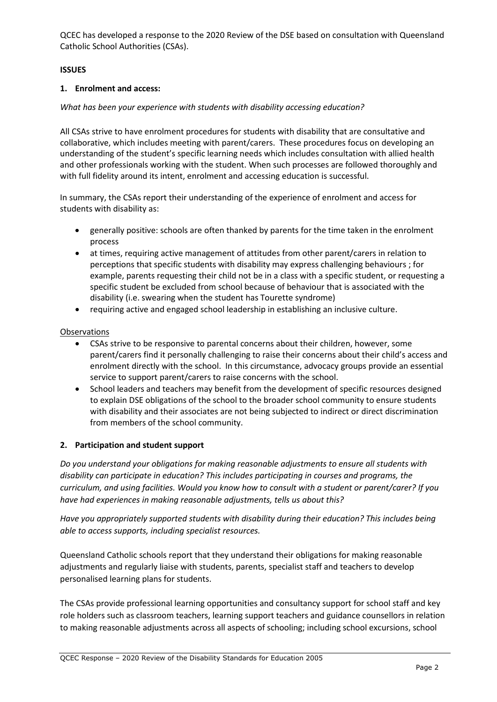QCEC has developed a response to the 2020 Review of the DSE based on consultation with Queensland Catholic School Authorities (CSAs).

#### **ISSUES**

#### **1. Enrolment and access:**

#### *What has been your experience with students with disability accessing education?*

All CSAs strive to have enrolment procedures for students with disability that are consultative and collaborative, which includes meeting with parent/carers. These procedures focus on developing an understanding of the student's specific learning needs which includes consultation with allied health and other professionals working with the student. When such processes are followed thoroughly and with full fidelity around its intent, enrolment and accessing education is successful.

In summary, the CSAs report their understanding of the experience of enrolment and access for students with disability as:

- generally positive: schools are often thanked by parents for the time taken in the enrolment process
- at times, requiring active management of attitudes from other parent/carers in relation to perceptions that specific students with disability may express challenging behaviours ; for example, parents requesting their child not be in a class with a specific student, or requesting a specific student be excluded from school because of behaviour that is associated with the disability (i.e. swearing when the student has Tourette syndrome)
- requiring active and engaged school leadership in establishing an inclusive culture.

#### Observations

- CSAs strive to be responsive to parental concerns about their children, however, some parent/carers find it personally challenging to raise their concerns about their child's access and enrolment directly with the school. In this circumstance, advocacy groups provide an essential service to support parent/carers to raise concerns with the school.
- School leaders and teachers may benefit from the development of specific resources designed to explain DSE obligations of the school to the broader school community to ensure students with disability and their associates are not being subjected to indirect or direct discrimination from members of the school community.

## **2. Participation and student support**

*Do you understand your obligations for making reasonable adjustments to ensure all students with disability can participate in education? This includes participating in courses and programs, the curriculum, and using facilities. Would you know how to consult with a student or parent/carer? If you have had experiences in making reasonable adjustments, tells us about this?*

*Have you appropriately supported students with disability during their education? This includes being able to access supports, including specialist resources.* 

Queensland Catholic schools report that they understand their obligations for making reasonable adjustments and regularly liaise with students, parents, specialist staff and teachers to develop personalised learning plans for students.

The CSAs provide professional learning opportunities and consultancy support for school staff and key role holders such as classroom teachers, learning support teachers and guidance counsellors in relation to making reasonable adjustments across all aspects of schooling; including school excursions, school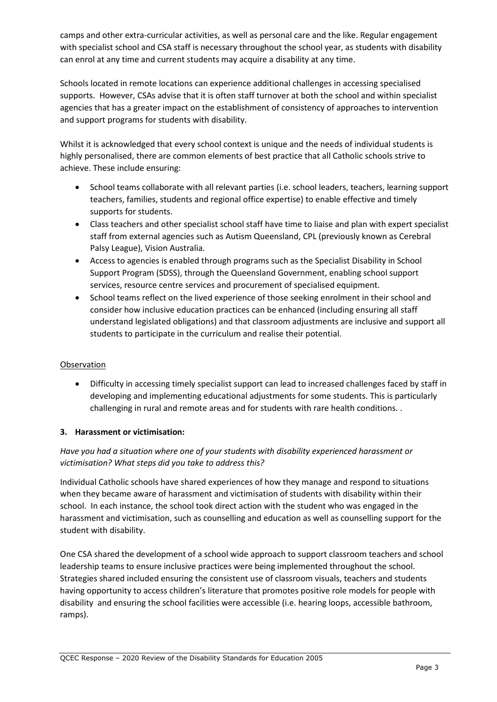camps and other extra-curricular activities, as well as personal care and the like. Regular engagement with specialist school and CSA staff is necessary throughout the school year, as students with disability can enrol at any time and current students may acquire a disability at any time.

Schools located in remote locations can experience additional challenges in accessing specialised supports. However, CSAs advise that it is often staff turnover at both the school and within specialist agencies that has a greater impact on the establishment of consistency of approaches to intervention and support programs for students with disability.

Whilst it is acknowledged that every school context is unique and the needs of individual students is highly personalised, there are common elements of best practice that all Catholic schools strive to achieve. These include ensuring:

- School teams collaborate with all relevant parties (i.e. school leaders, teachers, learning support teachers, families, students and regional office expertise) to enable effective and timely supports for students.
- Class teachers and other specialist school staff have time to liaise and plan with expert specialist staff from external agencies such as Autism Queensland, CPL (previously known as Cerebral Palsy League), Vision Australia.
- Access to agencies is enabled through programs such as the Specialist Disability in School Support Program (SDSS), through the Queensland Government, enabling school support services, resource centre services and procurement of specialised equipment.
- School teams reflect on the lived experience of those seeking enrolment in their school and consider how inclusive education practices can be enhanced (including ensuring all staff understand legislated obligations) and that classroom adjustments are inclusive and support all students to participate in the curriculum and realise their potential.

## Observation

• Difficulty in accessing timely specialist support can lead to increased challenges faced by staff in developing and implementing educational adjustments for some students. This is particularly challenging in rural and remote areas and for students with rare health conditions. .

# **3. Harassment or victimisation:**

# *Have you had a situation where one of your students with disability experienced harassment or victimisation? What steps did you take to address this?*

Individual Catholic schools have shared experiences of how they manage and respond to situations when they became aware of harassment and victimisation of students with disability within their school. In each instance, the school took direct action with the student who was engaged in the harassment and victimisation, such as counselling and education as well as counselling support for the student with disability.

One CSA shared the development of a school wide approach to support classroom teachers and school leadership teams to ensure inclusive practices were being implemented throughout the school. Strategies shared included ensuring the consistent use of classroom visuals, teachers and students having opportunity to access children's literature that promotes positive role models for people with disability and ensuring the school facilities were accessible (i.e. hearing loops, accessible bathroom, ramps).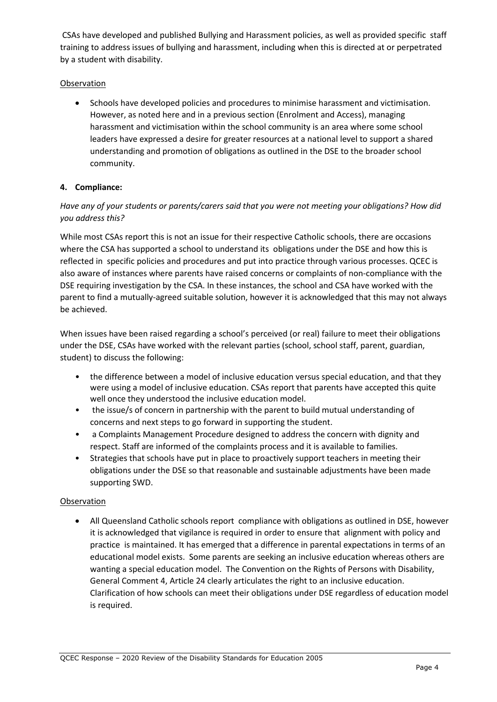CSAs have developed and published Bullying and Harassment policies, as well as provided specific staff training to address issues of bullying and harassment, including when this is directed at or perpetrated by a student with disability.

## Observation

• Schools have developed policies and procedures to minimise harassment and victimisation. However, as noted here and in a previous section (Enrolment and Access), managing harassment and victimisation within the school community is an area where some school leaders have expressed a desire for greater resources at a national level to support a shared understanding and promotion of obligations as outlined in the DSE to the broader school community.

# **4. Compliance:**

# *Have any of your students or parents/carers said that you were not meeting your obligations? How did you address this?*

While most CSAs report this is not an issue for their respective Catholic schools, there are occasions where the CSA has supported a school to understand its obligations under the DSE and how this is reflected in specific policies and procedures and put into practice through various processes. QCEC is also aware of instances where parents have raised concerns or complaints of non-compliance with the DSE requiring investigation by the CSA. In these instances, the school and CSA have worked with the parent to find a mutually-agreed suitable solution, however it is acknowledged that this may not always be achieved.

When issues have been raised regarding a school's perceived (or real) failure to meet their obligations under the DSE, CSAs have worked with the relevant parties (school, school staff, parent, guardian, student) to discuss the following:

- the difference between a model of inclusive education versus special education, and that they were using a model of inclusive education. CSAs report that parents have accepted this quite well once they understood the inclusive education model.
- the issue/s of concern in partnership with the parent to build mutual understanding of concerns and next steps to go forward in supporting the student.
- a Complaints Management Procedure designed to address the concern with dignity and respect. Staff are informed of the complaints process and it is available to families.
- Strategies that schools have put in place to proactively support teachers in meeting their obligations under the DSE so that reasonable and sustainable adjustments have been made supporting SWD.

## **Observation**

• All Queensland Catholic schools report compliance with obligations as outlined in DSE, however it is acknowledged that vigilance is required in order to ensure that alignment with policy and practice is maintained. It has emerged that a difference in parental expectations in terms of an educational model exists. Some parents are seeking an inclusive education whereas others are wanting a special education model. The Convention on the Rights of Persons with Disability, General Comment 4, Article 24 clearly articulates the right to an inclusive education. Clarification of how schools can meet their obligations under DSE regardless of education model is required.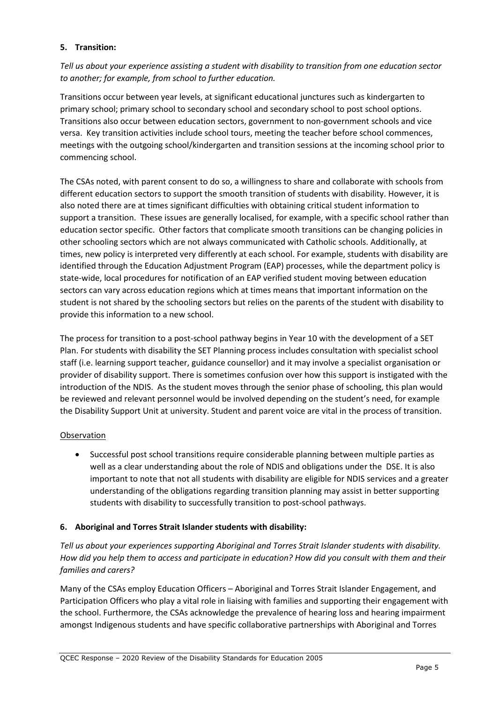## **5. Transition:**

*Tell us about your experience assisting a student with disability to transition from one education sector to another; for example, from school to further education.*

Transitions occur between year levels, at significant educational junctures such as kindergarten to primary school; primary school to secondary school and secondary school to post school options. Transitions also occur between education sectors, government to non-government schools and vice versa. Key transition activities include school tours, meeting the teacher before school commences, meetings with the outgoing school/kindergarten and transition sessions at the incoming school prior to commencing school.

The CSAs noted, with parent consent to do so, a willingness to share and collaborate with schools from different education sectors to support the smooth transition of students with disability. However, it is also noted there are at times significant difficulties with obtaining critical student information to support a transition. These issues are generally localised, for example, with a specific school rather than education sector specific. Other factors that complicate smooth transitions can be changing policies in other schooling sectors which are not always communicated with Catholic schools. Additionally, at times, new policy is interpreted very differently at each school. For example, students with disability are identified through the Education Adjustment Program (EAP) processes, while the department policy is state-wide, local procedures for notification of an EAP verified student moving between education sectors can vary across education regions which at times means that important information on the student is not shared by the schooling sectors but relies on the parents of the student with disability to provide this information to a new school.

The process for transition to a post-school pathway begins in Year 10 with the development of a SET Plan. For students with disability the SET Planning process includes consultation with specialist school staff (i.e. learning support teacher, guidance counsellor) and it may involve a specialist organisation or provider of disability support. There is sometimes confusion over how this support is instigated with the introduction of the NDIS. As the student moves through the senior phase of schooling, this plan would be reviewed and relevant personnel would be involved depending on the student's need, for example the Disability Support Unit at university. Student and parent voice are vital in the process of transition.

## Observation

• Successful post school transitions require considerable planning between multiple parties as well as a clear understanding about the role of NDIS and obligations under the DSE. It is also important to note that not all students with disability are eligible for NDIS services and a greater understanding of the obligations regarding transition planning may assist in better supporting students with disability to successfully transition to post-school pathways.

## **6. Aboriginal and Torres Strait Islander students with disability:**

*Tell us about your experiences supporting Aboriginal and Torres Strait Islander students with disability. How did you help them to access and participate in education? How did you consult with them and their families and carers?*

Many of the CSAs employ Education Officers – Aboriginal and Torres Strait Islander Engagement, and Participation Officers who play a vital role in liaising with families and supporting their engagement with the school. Furthermore, the CSAs acknowledge the prevalence of hearing loss and hearing impairment amongst Indigenous students and have specific collaborative partnerships with Aboriginal and Torres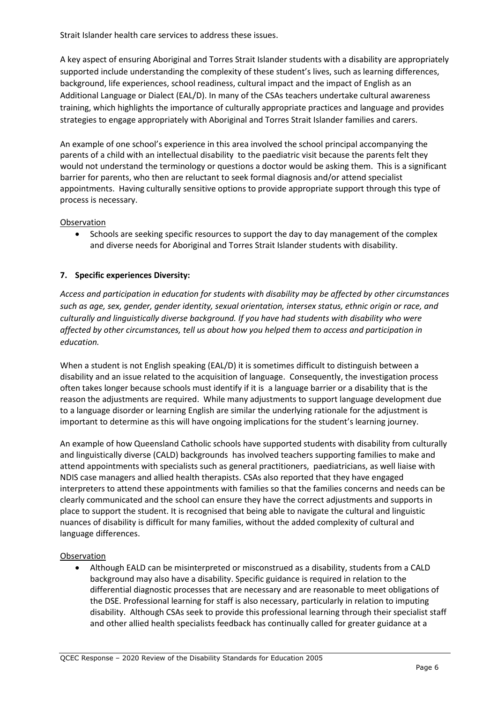Strait Islander health care services to address these issues.

A key aspect of ensuring Aboriginal and Torres Strait Islander students with a disability are appropriately supported include understanding the complexity of these student's lives, such as learning differences, background, life experiences, school readiness, cultural impact and the impact of English as an Additional Language or Dialect (EAL/D). In many of the CSAs teachers undertake cultural awareness training, which highlights the importance of culturally appropriate practices and language and provides strategies to engage appropriately with Aboriginal and Torres Strait Islander families and carers.

An example of one school's experience in this area involved the school principal accompanying the parents of a child with an intellectual disability to the paediatric visit because the parents felt they would not understand the terminology or questions a doctor would be asking them. This is a significant barrier for parents, who then are reluctant to seek formal diagnosis and/or attend specialist appointments. Having culturally sensitive options to provide appropriate support through this type of process is necessary.

#### **Observation**

• Schools are seeking specific resources to support the day to day management of the complex and diverse needs for Aboriginal and Torres Strait Islander students with disability.

## **7. Specific experiences Diversity:**

*Access and participation in education for students with disability may be affected by other circumstances such as age, sex, gender, gender identity, sexual orientation, intersex status, ethnic origin or race, and culturally and linguistically diverse background. If you have had students with disability who were affected by other circumstances, tell us about how you helped them to access and participation in education.* 

When a student is not English speaking (EAL/D) it is sometimes difficult to distinguish between a disability and an issue related to the acquisition of language. Consequently, the investigation process often takes longer because schools must identify if it is a language barrier or a disability that is the reason the adjustments are required. While many adjustments to support language development due to a language disorder or learning English are similar the underlying rationale for the adjustment is important to determine as this will have ongoing implications for the student's learning journey.

An example of how Queensland Catholic schools have supported students with disability from culturally and linguistically diverse (CALD) backgrounds has involved teachers supporting families to make and attend appointments with specialists such as general practitioners, paediatricians, as well liaise with NDIS case managers and allied health therapists. CSAs also reported that they have engaged interpreters to attend these appointments with families so that the families concerns and needs can be clearly communicated and the school can ensure they have the correct adjustments and supports in place to support the student. It is recognised that being able to navigate the cultural and linguistic nuances of disability is difficult for many families, without the added complexity of cultural and language differences.

#### Observation

• Although EALD can be misinterpreted or misconstrued as a disability, students from a CALD background may also have a disability. Specific guidance is required in relation to the differential diagnostic processes that are necessary and are reasonable to meet obligations of the DSE. Professional learning for staff is also necessary, particularly in relation to imputing disability. Although CSAs seek to provide this professional learning through their specialist staff and other allied health specialists feedback has continually called for greater guidance at a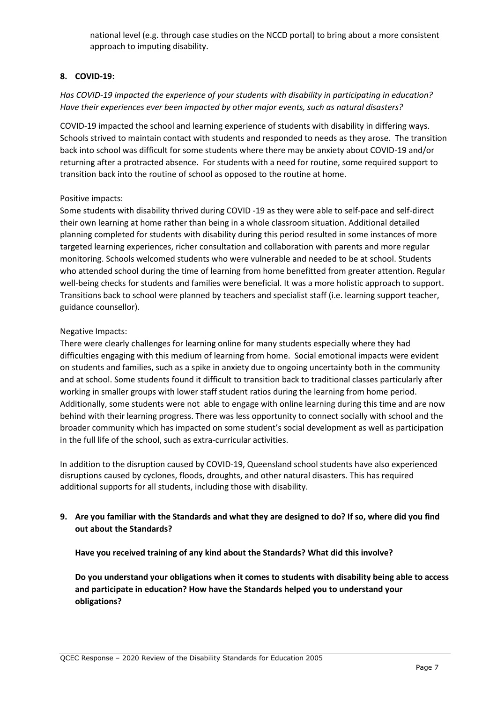national level (e.g. through case studies on the NCCD portal) to bring about a more consistent approach to imputing disability.

#### **8. COVID-19:**

# *Has COVID-19 impacted the experience of your students with disability in participating in education? Have their experiences ever been impacted by other major events, such as natural disasters?*

COVID-19 impacted the school and learning experience of students with disability in differing ways. Schools strived to maintain contact with students and responded to needs as they arose. The transition back into school was difficult for some students where there may be anxiety about COVID-19 and/or returning after a protracted absence. For students with a need for routine, some required support to transition back into the routine of school as opposed to the routine at home.

#### Positive impacts:

Some students with disability thrived during COVID -19 as they were able to self-pace and self-direct their own learning at home rather than being in a whole classroom situation. Additional detailed planning completed for students with disability during this period resulted in some instances of more targeted learning experiences, richer consultation and collaboration with parents and more regular monitoring. Schools welcomed students who were vulnerable and needed to be at school. Students who attended school during the time of learning from home benefitted from greater attention. Regular well-being checks for students and families were beneficial. It was a more holistic approach to support. Transitions back to school were planned by teachers and specialist staff (i.e. learning support teacher, guidance counsellor).

#### Negative Impacts:

There were clearly challenges for learning online for many students especially where they had difficulties engaging with this medium of learning from home. Social emotional impacts were evident on students and families, such as a spike in anxiety due to ongoing uncertainty both in the community and at school. Some students found it difficult to transition back to traditional classes particularly after working in smaller groups with lower staff student ratios during the learning from home period. Additionally, some students were not able to engage with online learning during this time and are now behind with their learning progress. There was less opportunity to connect socially with school and the broader community which has impacted on some student's social development as well as participation in the full life of the school, such as extra-curricular activities.

In addition to the disruption caused by COVID-19, Queensland school students have also experienced disruptions caused by cyclones, floods, droughts, and other natural disasters. This has required additional supports for all students, including those with disability.

# **9. Are you familiar with the Standards and what they are designed to do? If so, where did you find out about the Standards?**

**Have you received training of any kind about the Standards? What did this involve?**

**Do you understand your obligations when it comes to students with disability being able to access and participate in education? How have the Standards helped you to understand your obligations?**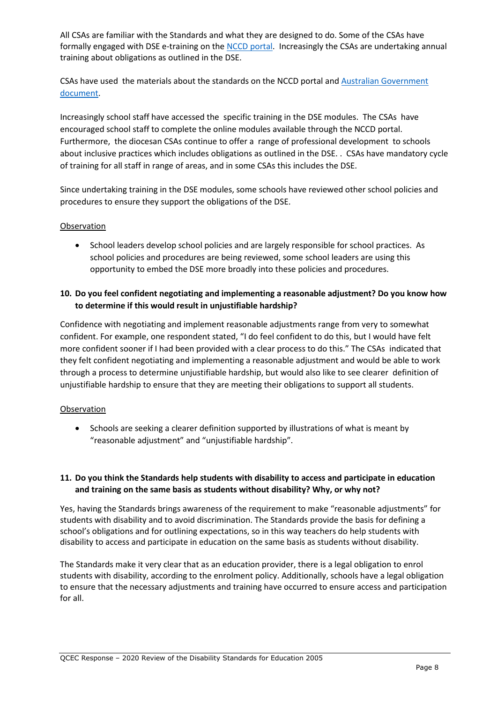All CSAs are familiar with the Standards and what they are designed to do. Some of the CSAs have formally engaged with DSE e-training on th[e NCCD portal.](https://www.nccd.edu.au/resources-and-tools/professional-learning) Increasingly the CSAs are undertaking annual training about obligations as outlined in the DSE.

CSAs have used the materials about the standards on the NCCD portal and [Australian Government](https://docs.education.gov.au/node/16354)  [document.](https://docs.education.gov.au/node/16354)

Increasingly school staff have accessed the specific training in the DSE modules. The CSAs have encouraged school staff to complete the online modules available through the NCCD portal. Furthermore, the diocesan CSAs continue to offer a range of professional development to schools about inclusive practices which includes obligations as outlined in the DSE. . CSAs have mandatory cycle of training for all staff in range of areas, and in some CSAs this includes the DSE.

Since undertaking training in the DSE modules, some schools have reviewed other school policies and procedures to ensure they support the obligations of the DSE.

#### Observation

• School leaders develop school policies and are largely responsible for school practices. As school policies and procedures are being reviewed, some school leaders are using this opportunity to embed the DSE more broadly into these policies and procedures.

# **10. Do you feel confident negotiating and implementing a reasonable adjustment? Do you know how to determine if this would result in unjustifiable hardship?**

Confidence with negotiating and implement reasonable adjustments range from very to somewhat confident. For example, one respondent stated, "I do feel confident to do this, but I would have felt more confident sooner if I had been provided with a clear process to do this." The CSAs indicated that they felt confident negotiating and implementing a reasonable adjustment and would be able to work through a process to determine unjustifiable hardship, but would also like to see clearer definition of unjustifiable hardship to ensure that they are meeting their obligations to support all students.

## **Observation**

• Schools are seeking a clearer definition supported by illustrations of what is meant by "reasonable adjustment" and "unjustifiable hardship".

## **11. Do you think the Standards help students with disability to access and participate in education and training on the same basis as students without disability? Why, or why not?**

Yes, having the Standards brings awareness of the requirement to make "reasonable adjustments" for students with disability and to avoid discrimination. The Standards provide the basis for defining a school's obligations and for outlining expectations, so in this way teachers do help students with disability to access and participate in education on the same basis as students without disability.

The Standards make it very clear that as an education provider, there is a legal obligation to enrol students with disability, according to the enrolment policy. Additionally, schools have a legal obligation to ensure that the necessary adjustments and training have occurred to ensure access and participation for all.